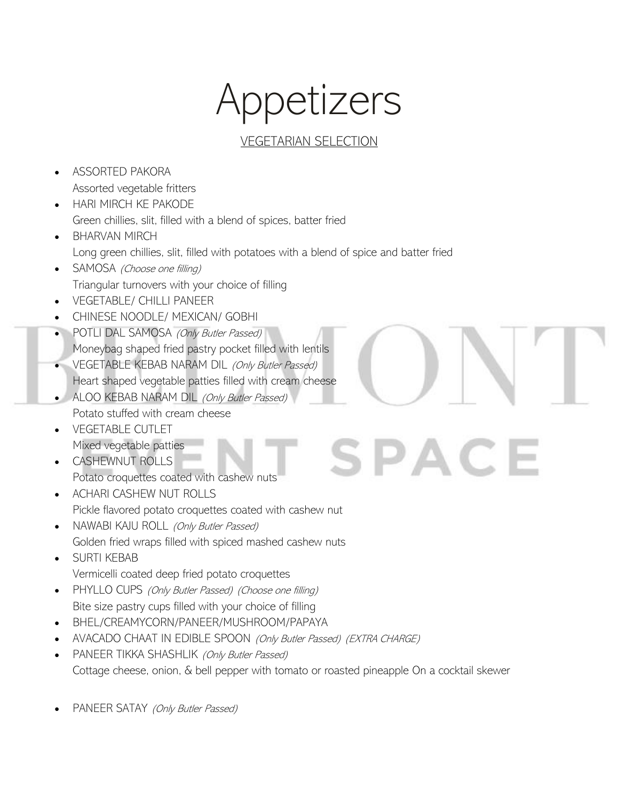# Appetizers

### VEGETARIAN SELECTION

SPACE

- ASSORTED PAKORA Assorted vegetable fritters
- HARI MIRCH KE PAKODE Green chillies, slit, filled with a blend of spices, batter fried
- BHARVAN MIRCH Long green chillies, slit, filled with potatoes with a blend of spice and batter fried
- SAMOSA (Choose one filling) Triangular turnovers with your choice of filling
- VEGETABLE/ CHILLI PANEER
- CHINESE NOODLE/ MEXICAN/ GOBHI
- POTLI DAL SAMOSA (Only Butler Passed) Moneybag shaped fried pastry pocket filled with lentils
- VEGETABLE KEBAB NARAM DIL (Only Butler Passed) Heart shaped vegetable patties filled with cream cheese
- ALOO KEBAB NARAM DIL (Only Butler Passed) Potato stuffed with cream cheese
- VEGETABLE CUTLET Mixed vegetable patties
- CASHEWNUT ROLLS Potato croquettes coated with cashew nuts
- ACHARI CASHEW NUT ROLLS Pickle flavored potato croquettes coated with cashew nut
- NAWABI KAJU ROLL (Only Butler Passed) Golden fried wraps filled with spiced mashed cashew nuts
- SURTI KEBAB Vermicelli coated deep fried potato croquettes
- PHYLLO CUPS (Only Butler Passed) (Choose one filling) Bite size pastry cups filled with your choice of filling
- BHEL/CREAMYCORN/PANEER/MUSHROOM/PAPAYA
- AVACADO CHAAT IN EDIBLE SPOON (Only Butler Passed) (EXTRA CHARGE)
- PANEER TIKKA SHASHLIK (Only Butler Passed) Cottage cheese, onion, & bell pepper with tomato or roasted pineapple On a cocktail skewer
- PANEER SATAY (Only Butler Passed)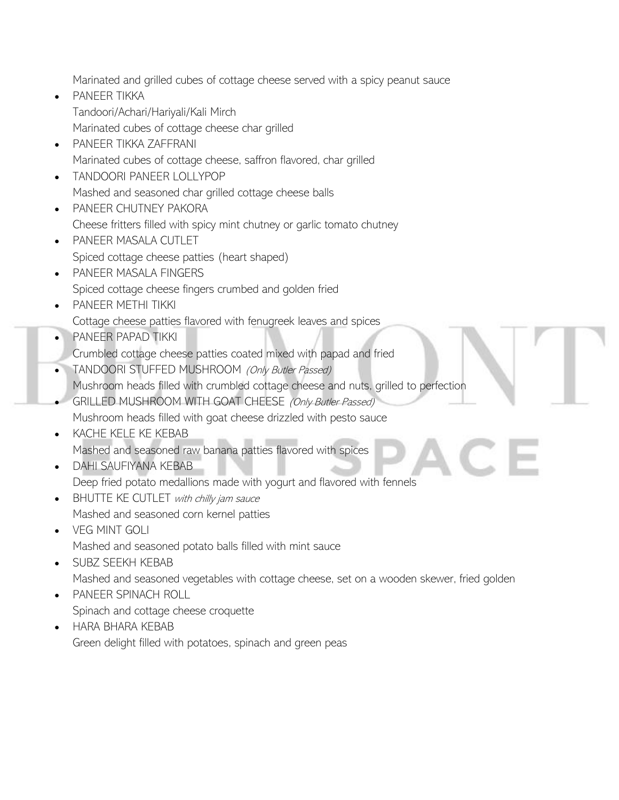Marinated and grilled cubes of cottage cheese served with a spicy peanut sauce

- PANEER TIKKA Tandoori/Achari/Hariyali/Kali Mirch Marinated cubes of cottage cheese char grilled
- PANEER TIKKA ZAFFRANI Marinated cubes of cottage cheese, saffron flavored, char grilled
- TANDOORI PANEER LOLLYPOP Mashed and seasoned char grilled cottage cheese balls
- PANEER CHUTNEY PAKORA Cheese fritters filled with spicy mint chutney or garlic tomato chutney
- PANEER MASALA CUTLET Spiced cottage cheese patties (heart shaped)
- PANEER MASALA FINGERS Spiced cottage cheese fingers crumbed and golden fried
- PANEER METHI TIKKI Cottage cheese patties flavored with fenugreek leaves and spices
- PANEER PAPAD TIKKI
- Crumbled cottage cheese patties coated mixed with papad and fried
- TANDOORI STUFFED MUSHROOM (Only Butler Passed) Mushroom heads filled with crumbled cottage cheese and nuts, grilled to perfection
- GRILLED MUSHROOM WITH GOAT CHEESE (Only Butler Passed) Mushroom heads filled with goat cheese drizzled with pesto sauce
- KACHE KELE KE KEBAB Mashed and seasoned raw banana patties flavored with spices
- DAHI SAUFIYANA KEBAB Deep fried potato medallions made with yogurt and flavored with fennels
- BHUTTE KE CUTLET with chilly jam sauce Mashed and seasoned corn kernel patties
- VEG MINT GOLI Mashed and seasoned potato balls filled with mint sauce
- SUBZ SEEKH KEBAB

Mashed and seasoned vegetables with cottage cheese, set on a wooden skewer, fried golden

- PANEER SPINACH ROLL Spinach and cottage cheese croquette
- HARA BHARA KEBAB Green delight filled with potatoes, spinach and green peas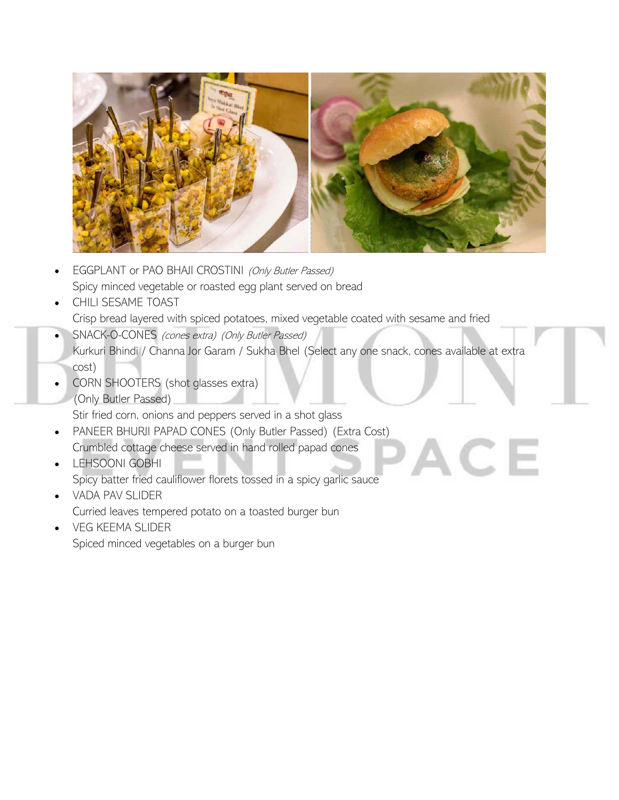

- EGGPLANT or PAO BHAJI CROSTINI (Only Butler Passed) Spicy minced vegetable or roasted egg plant served on bread
- CHILI SESAME TOAST Crisp bread layered with spiced potatoes, mixed vegetable coated with sesame and fried
- SNACK-O-CONES (cones extra) (Only Butler Passed) Kurkuri Bhindi / Channa Jor Garam / Sukha Bhel (Select any one snack, cones available at extra cost)

 $CE$ 

• CORN SHOOTERS (shot glasses extra) (Only Butler Passed)

Stir fried corn, onions and peppers served in a shot glass

- PANEER BHURJI PAPAD CONES (Only Butler Passed) (Extra Cost) Crumbled cottage cheese served in hand rolled papad cones
- LEHSOONI GOBHI Spicy batter fried cauliflower florets tossed in a spicy garlic sauce
- VADA PAV SLIDER
	- Curried leaves tempered potato on a toasted burger bun
- VEG KEEMA SLIDER Spiced minced vegetables on a burger bun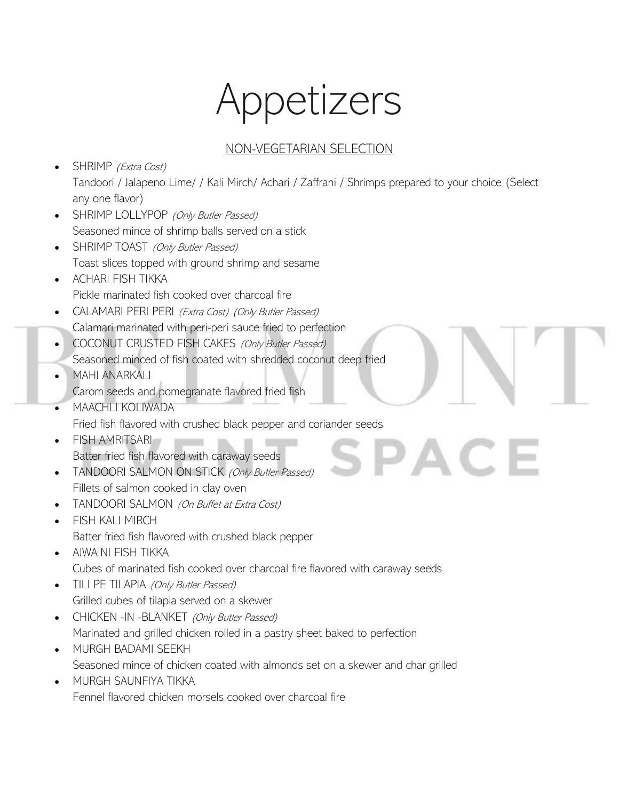# Appetizers

### NON-VEGETARIAN SELECTION

AC.

- SHRIMP (Extra Cost) Tandoori / Jalapeno Lime/ / Kali Mirch/ Achari / Zaffrani / Shrimps prepared to your choice (Select any one flavor)
- SHRIMP LOLLYPOP (Only Butler Passed) Seasoned mince of shrimp balls served on a stick
- SHRIMP TOAST (Only Butler Passed) Toast slices topped with ground shrimp and sesame
- ACHARI FISH TIKKA Pickle marinated fish cooked over charcoal fire
- CALAMARI PERI PERI (Extra Cost) (Only Butler Passed) Calamari marinated with peri-peri sauce fried to perfection
- COCONUT CRUSTED FISH CAKES (Only Butler Passed)
- Seasoned minced of fish coated with shredded coconut deep fried
- MAHI ANARKALI Carom seeds and pomegranate flavored fried fish
- MAACHLI KOLIWADA Fried fish flavored with crushed black pepper and coriander seeds
- FISH AMRITSARI Batter fried fish flavored with caraway seeds
- TANDOORI SALMON ON STICK (Only Butler Passed) Fillets of salmon cooked in clay oven
- TANDOORI SALMON (On Buffet at Extra Cost)
- FISH KALI MIRCH Batter fried fish flavored with crushed black pepper
- AIWAINI FISH TIKKA Cubes of marinated fish cooked over charcoal fire flavored with caraway seeds
- TILI PE TILAPIA (Only Butler Passed) Grilled cubes of tilapia served on a skewer
- CHICKEN -IN -BLANKET (Only Butler Passed) Marinated and grilled chicken rolled in a pastry sheet baked to perfection
- MURGH BADAMI SEEKH Seasoned mince of chicken coated with almonds set on a skewer and char grilled
- MURGH SAUNFIYA TIKKA Fennel flavored chicken morsels cooked over charcoal fire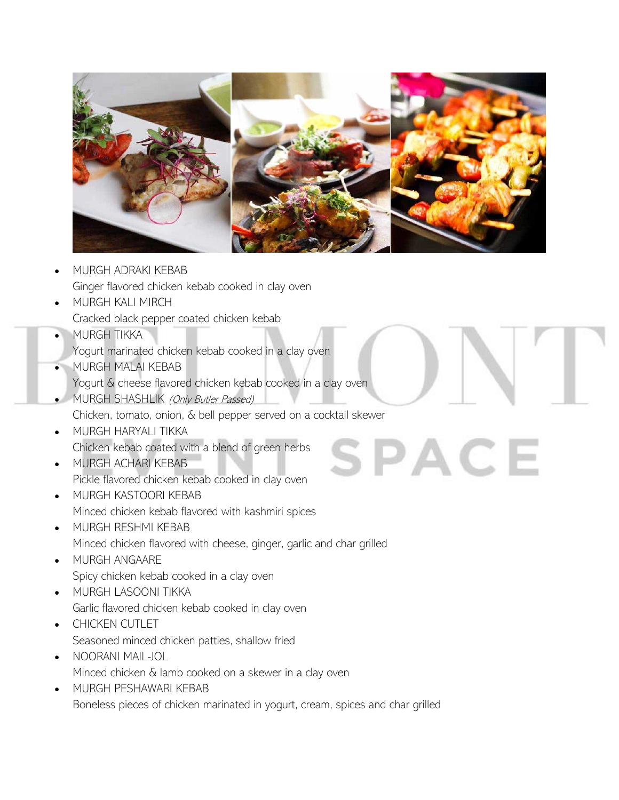

 $SPACE$ 

- MURGH ADRAKI KEBAB Ginger flavored chicken kebab cooked in clay oven
- MURGH KALI MIRCH
	- Cracked black pepper coated chicken kebab
- MURGH TIKKA
	- Yogurt marinated chicken kebab cooked in a clay oven
- MURGH MALAI KEBAB Yogurt & cheese flavored chicken kebab cooked in a clay oven
- MURGH SHASHLIK (Only Butler Passed) Chicken, tomato, onion, & bell pepper served on a cocktail skewer
- MURGH HARYALI TIKKA Chicken kebab coated with a blend of green herbs
- MURGH ACHARI KEBAB Pickle flavored chicken kebab cooked in clay oven
- MURGH KASTOORI KEBAB Minced chicken kebab flavored with kashmiri spices
- MURGH RESHMI KEBAB Minced chicken flavored with cheese, ginger, garlic and char grilled
- MURGH ANGAARE Spicy chicken kebab cooked in a clay oven
- MURGH LASOONI TIKKA Garlic flavored chicken kebab cooked in clay oven
- CHICKEN CUTLET Seasoned minced chicken patties, shallow fried
- NOORANI MAIL-JOL Minced chicken & lamb cooked on a skewer in a clay oven
- MURGH PESHAWARI KEBAB Boneless pieces of chicken marinated in yogurt, cream, spices and char grilled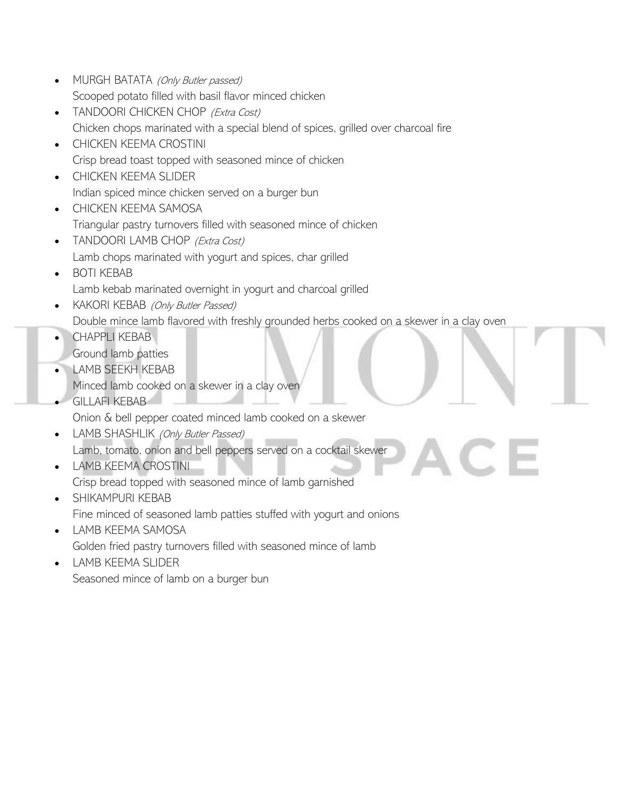- MURGH BATATA (Only Butler passed) Scooped potato filled with basil flavor minced chicken
- TANDOORI CHICKEN CHOP (Extra Cost) Chicken chops marinated with a special blend of spices, grilled over charcoal fire
- CHICKEN KEEMA CROSTINI Crisp bread toast topped with seasoned mince of chicken
- CHICKEN KEEMA SLIDER Indian spiced mince chicken served on a burger bun
- CHICKEN KEEMA SAMOSA Triangular pastry turnovers filled with seasoned mince of chicken
- TANDOORI LAMB CHOP (Extra Cost) Lamb chops marinated with yogurt and spices, char grilled
- BOTI KEBAB Lamb kebab marinated overnight in yogurt and charcoal grilled
- KAKORI KEBAB (Only Butler Passed) Double mince lamb flavored with freshly grounded herbs cooked on a skewer in a clay oven
- CHAPPLI KEBAB
- Ground lamb patties
- LAMB SEEKH KEBAB
	- Minced lamb cooked on a skewer in a clay oven
- GILLAFI KEBAB
	- Onion & bell pepper coated minced lamb cooked on a skewer
- LAMB SHASHLIK (Only Butler Passed) Lamb, tomato, onion and bell peppers served on a cocktail skewer
- LAMB KEEMA CROSTINI Crisp bread topped with seasoned mince of lamb garnished
- SHIKAMPURI KEBAB Fine minced of seasoned lamb patties stuffed with yogurt and onions
- LAMB KEEMA SAMOSA Golden fried pastry turnovers filled with seasoned mince of lamb
- LAMB KEEMA SLIDER Seasoned mince of lamb on a burger bun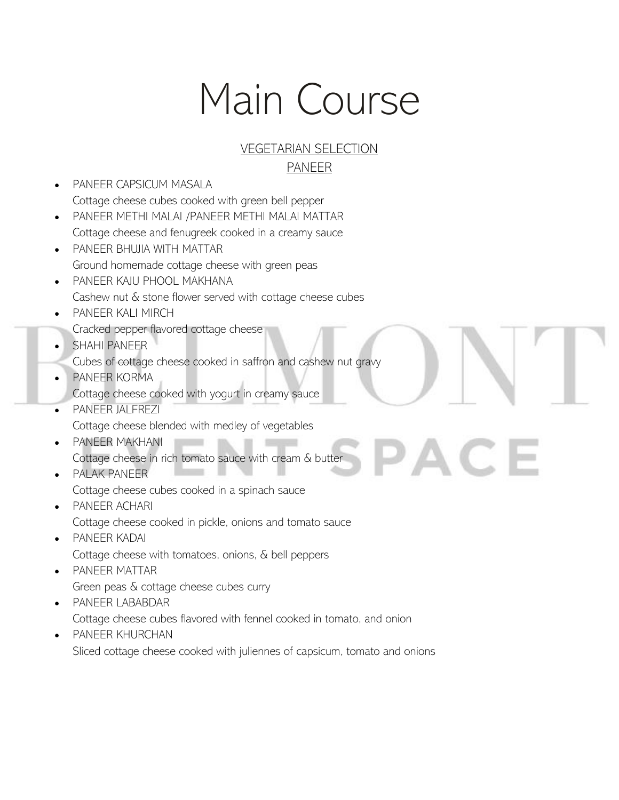# Main Course

#### VEGETARIAN SELECTION PANEER

ACE

- PANEER CAPSICUM MASALA Cottage cheese cubes cooked with green bell pepper • PANEER METHI MALAI /PANEER METHI MALAI MATTAR
- Cottage cheese and fenugreek cooked in a creamy sauce
- PANEER BHUJIA WITH MATTAR Ground homemade cottage cheese with green peas
- PANEER KAJU PHOOL MAKHANA Cashew nut & stone flower served with cottage cheese cubes
- PANEER KALI MIRCH
- Cracked pepper flavored cottage cheese
- SHAHI PANEER
- Cubes of cottage cheese cooked in saffron and cashew nut gravy
- PANEER KORMA Cottage cheese cooked with yogurt in creamy sauce
- PANEER JALFREZI Cottage cheese blended with medley of vegetables
- PANEER MAKHANI Cottage cheese in rich tomato sauce with cream & butter
- PALAK PANEER Cottage cheese cubes cooked in a spinach sauce
- PANEER ACHARI Cottage cheese cooked in pickle, onions and tomato sauce
- PANEER KADAI Cottage cheese with tomatoes, onions, & bell peppers
- PANEER MATTAR Green peas & cottage cheese cubes curry
- PANEER LABABDAR

Cottage cheese cubes flavored with fennel cooked in tomato, and onion

• PANEER KHURCHAN Sliced cottage cheese cooked with juliennes of capsicum, tomato and onions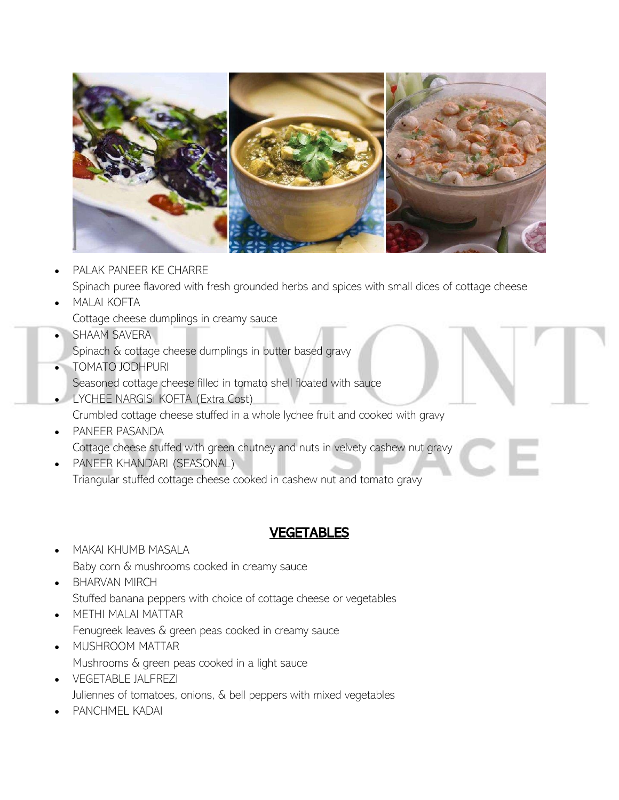

• PALAK PANEER KE CHARRE

Spinach puree flavored with fresh grounded herbs and spices with small dices of cottage cheese

• MALAI KOFTA

Cottage cheese dumplings in creamy sauce

- SHAAM SAVERA
- Spinach & cottage cheese dumplings in butter based gravy
- TOMATO JODHPURI
- Seasoned cottage cheese filled in tomato shell floated with sauce • LYCHEE NARGISI KOFTA (Extra Cost)
- Crumbled cottage cheese stuffed in a whole lychee fruit and cooked with gravy
- PANEER PASANDA Cottage cheese stuffed with green chutney and nuts in velvety cashew nut gravy
- PANEER KHANDARI (SEASONAL) Triangular stuffed cottage cheese cooked in cashew nut and tomato gravy

### VEGETABLES

- MAKAI KHUMB MASALA Baby corn & mushrooms cooked in creamy sauce
- BHARVAN MIRCH Stuffed banana peppers with choice of cottage cheese or vegetables
- METHI MALAI MATTAR Fenugreek leaves & green peas cooked in creamy sauce
- MUSHROOM MATTAR Mushrooms & green peas cooked in a light sauce
- VEGETABLE JALFREZI Juliennes of tomatoes, onions, & bell peppers with mixed vegetables
- PANCHMEL KADAI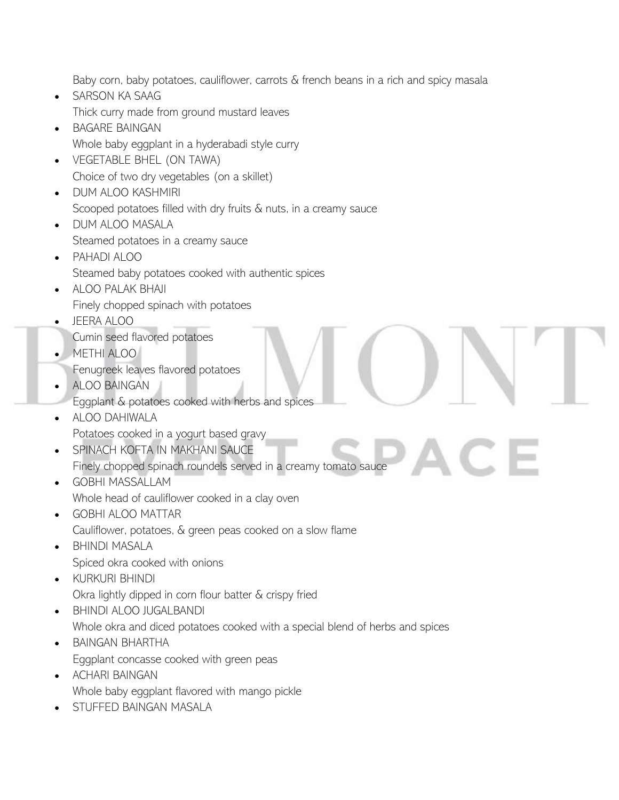Baby corn, baby potatoes, cauliflower, carrots & french beans in a rich and spicy masala

- SARSON KA SAAG Thick curry made from ground mustard leaves • BAGARE BAINGAN
	- Whole baby eggplant in a hyderabadi style curry
- VEGETABLE BHEL (ON TAWA) Choice of two dry vegetables (on a skillet)
- DUM ALOO KASHMIRI Scooped potatoes filled with dry fruits & nuts, in a creamy sauce
- DUM ALOO MASALA Steamed potatoes in a creamy sauce
- PAHADI ALOO Steamed baby potatoes cooked with authentic spices
- ALOO PALAK BHAJI Finely chopped spinach with potatoes
- JEERA ALOO
- Cumin seed flavored potatoes
- METHI ALOO
	- Fenugreek leaves flavored potatoes
- ALOO BAINGAN
- Eggplant & potatoes cooked with herbs and spices
- ALOO DAHIWALA Potatoes cooked in a yogurt based gravy
- SPINACH KOFTA IN MAKHANI SAUCE Finely chopped spinach roundels served in a creamy tomato sauce
- GOBHI MASSALLAM Whole head of cauliflower cooked in a clay oven
- GOBHI ALOO MATTAR Cauliflower, potatoes, & green peas cooked on a slow flame
- BHINDI MASALA Spiced okra cooked with onions
- KURKURI BHINDI Okra lightly dipped in corn flour batter & crispy fried
- BHINDI ALOO JUGALBANDI Whole okra and diced potatoes cooked with a special blend of herbs and spices
- BAINGAN BHARTHA Eggplant concasse cooked with green peas
- ACHARI BAINGAN Whole baby eggplant flavored with mango pickle
- STUFFED BAINGAN MASALA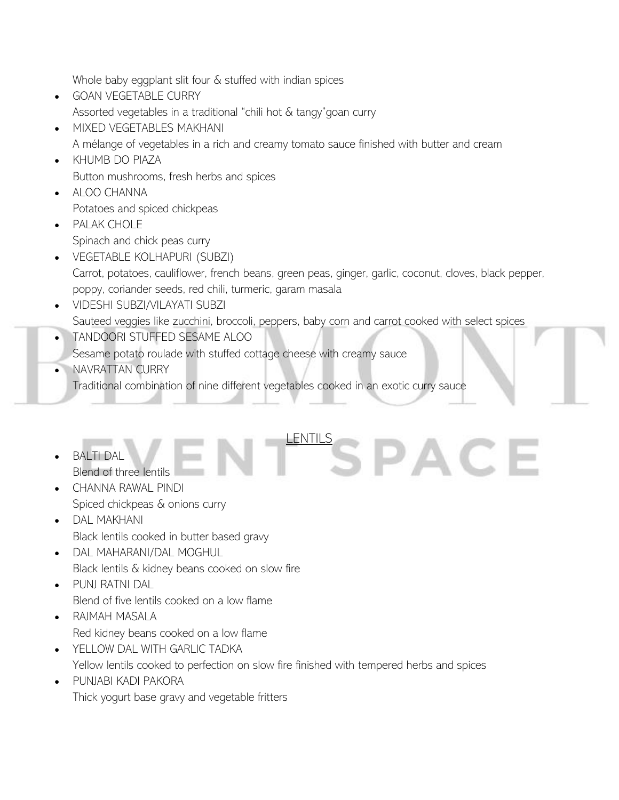Whole baby eggplant slit four & stuffed with indian spices

- GOAN VEGETABLE CURRY Assorted vegetables in a traditional "chili hot & tangy"goan curry
- MIXED VEGETABLES MAKHANI

A mélange of vegetables in a rich and creamy tomato sauce finished with butter and cream

- KHUMB DO PIAZA Button mushrooms, fresh herbs and spices
- ALOO CHANNA

Potatoes and spiced chickpeas • PALAK CHOLE

- Spinach and chick peas curry
- VEGETABLE KOLHAPURI (SUBZI) Carrot, potatoes, cauliflower, french beans, green peas, ginger, garlic, coconut, cloves, black pepper, poppy, coriander seeds, red chili, turmeric, garam masala

LENTILS C D A C E

- VIDESHI SUBZI/VILAYATI SUBZI Sauteed veggies like zucchini, broccoli, peppers, baby corn and carrot cooked with select spices
- TANDOORI STUFFED SESAME ALOO

Sesame potato roulade with stuffed cottage cheese with creamy sauce

• NAVRATTAN CURRY

Traditional combination of nine different vegetables cooked in an exotic curry sauce

- BALTI DAL Blend of three lentils
- CHANNA RAWAL PINDI Spiced chickpeas & onions curry
- DAL MAKHANI Black lentils cooked in butter based gravy
- DAL MAHARANI/DAL MOGHUL Black lentils & kidney beans cooked on slow fire
- PUNJ RATNI DAL Blend of five lentils cooked on a low flame
- RAJMAH MASALA Red kidney beans cooked on a low flame
- YELLOW DAL WITH GARLIC TADKA Yellow lentils cooked to perfection on slow fire finished with tempered herbs and spices
- PUNJABI KADI PAKORA Thick yogurt base gravy and vegetable fritters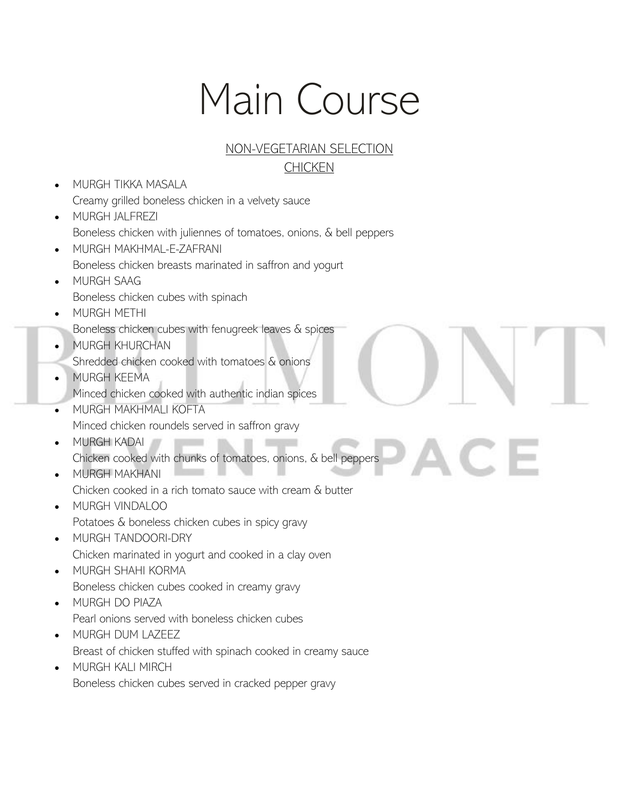# Main Course

#### NON-VEGETARIAN SELECTION **CHICKEN**

- MURGH TIKKA MASALA Creamy grilled boneless chicken in a velvety sauce
- MURGH JALFREZI Boneless chicken with juliennes of tomatoes, onions, & bell peppers
- MURGH MAKHMAL-E-ZAFRANI Boneless chicken breasts marinated in saffron and yogurt
- MURGH SAAG Boneless chicken cubes with spinach
- MURGH METHI
- Boneless chicken cubes with fenugreek leaves & spices
- MURGH KHURCHAN Shredded chicken cooked with tomatoes & onions
- MURGH KEEMA Minced chicken cooked with authentic indian spices
- MURGH MAKHMALI KOFTA Minced chicken roundels served in saffron gravy
- MURGH KADAI Chicken cooked with chunks of tomatoes, onions, & bell peppers
- MURGH MAKHANI Chicken cooked in a rich tomato sauce with cream & butter
- MURGH VINDALOO Potatoes & boneless chicken cubes in spicy gravy
- MURGH TANDOORI-DRY Chicken marinated in yogurt and cooked in a clay oven
- MURGH SHAHI KORMA Boneless chicken cubes cooked in creamy gravy
- MURGH DO PIAZA Pearl onions served with boneless chicken cubes
- MURGH DUM LAZEEZ Breast of chicken stuffed with spinach cooked in creamy sauce
- MURGH KALI MIRCH Boneless chicken cubes served in cracked pepper gravy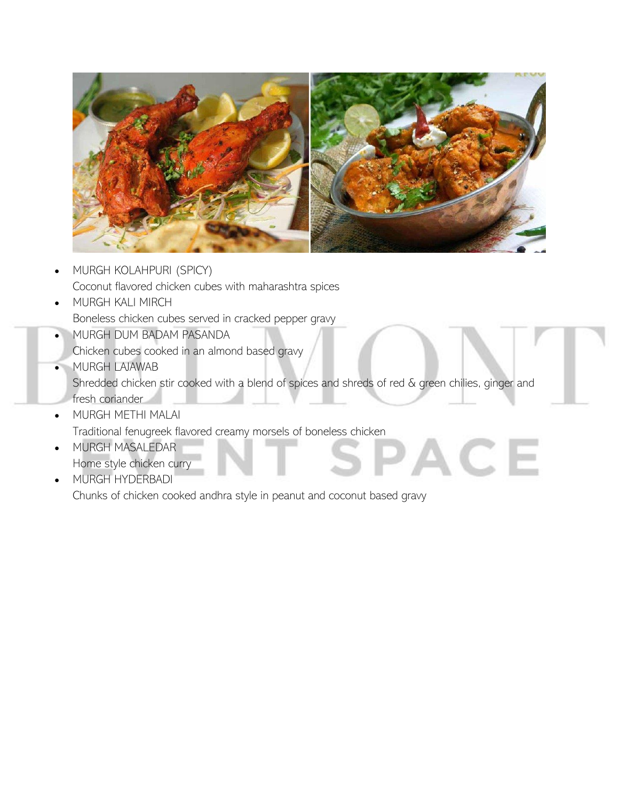

- MURGH KOLAHPURI (SPICY) Coconut flavored chicken cubes with maharashtra spices
- MURGH KALI MIRCH Boneless chicken cubes served in cracked pepper gravy
- MURGH DUM BADAM PASANDA
- Chicken cubes cooked in an almond based gravy
- MURGH LAJAWAB Shredded chicken stir cooked with a blend of spices and shreds of red & green chilies, ginger and fresh coriander

ACE

- MURGH METHI MALAI Traditional fenugreek flavored creamy morsels of boneless chicken
- MURGH MASALEDAR Home style chicken curry
- MURGH HYDERBADI

Chunks of chicken cooked andhra style in peanut and coconut based gravy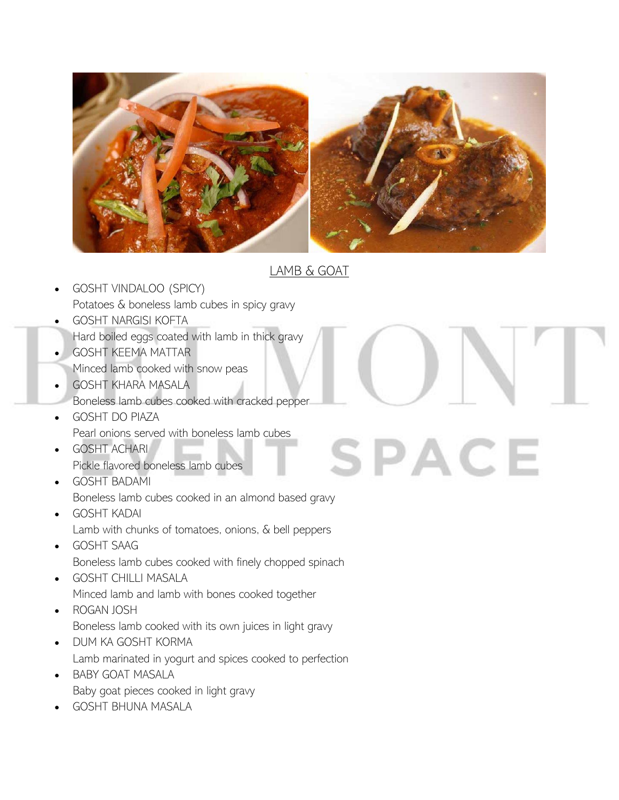

## LAMB & GOAT

**SPACE** 

- GOSHT VINDALOO (SPICY) Potatoes & boneless lamb cubes in spicy gravy
- GOSHT NARGISI KOFTA
- Hard boiled eggs coated with lamb in thick gravy
- GOSHT KEEMA MATTAR
	- Minced lamb cooked with snow peas
- GOSHT KHARA MASALA
- Boneless lamb cubes cooked with cracked pepper
- GOSHT DO PIAZA Pearl onions served with boneless lamb cubes
- GOSHT ACHARI Pickle flavored boneless lamb cubes
- GOSHT BADAMI Boneless lamb cubes cooked in an almond based gravy
- GOSHT KADAI Lamb with chunks of tomatoes, onions, & bell peppers
- GOSHT SAAG Boneless lamb cubes cooked with finely chopped spinach
- GOSHT CHILLI MASALA Minced lamb and lamb with bones cooked together
- ROGAN JOSH Boneless lamb cooked with its own juices in light gravy
- DUM KA GOSHT KORMA Lamb marinated in yogurt and spices cooked to perfection
- BABY GOAT MASALA Baby goat pieces cooked in light gravy
- GOSHT BHUNA MASALA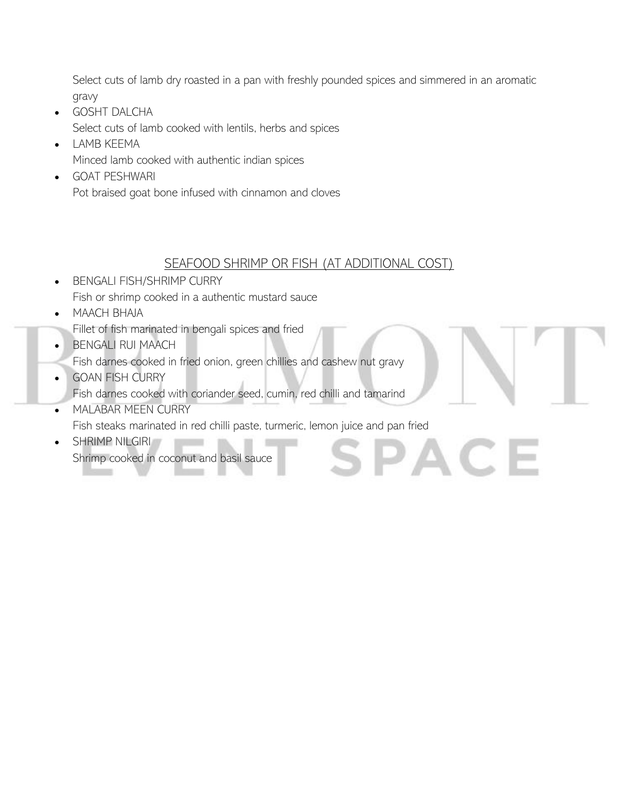Select cuts of lamb dry roasted in a pan with freshly pounded spices and simmered in an aromatic gravy

- GOSHT DALCHA Select cuts of lamb cooked with lentils, herbs and spices
- LAMB KEEMA Minced lamb cooked with authentic indian spices
- GOAT PESHWARI Pot braised goat bone infused with cinnamon and cloves

#### SEAFOOD SHRIMP OR FISH (AT ADDITIONAL COST)

AC.

- BENGALI FISH/SHRIMP CURRY Fish or shrimp cooked in a authentic mustard sauce
- MAACH BHAJA
- Fillet of fish marinated in bengali spices and fried
- BENGALI RUI MAACH
- Fish darnes cooked in fried onion, green chillies and cashew nut gravy
- **GOAN FISH CURRY** Fish darnes cooked with coriander seed, cumin, red chilli and tamarind
- MALABAR MEEN CURRY Fish steaks marinated in red chilli paste, turmeric, lemon juice and pan fried
- SHRIMP NILGIRI Shrimp cooked in coconut and basil sauce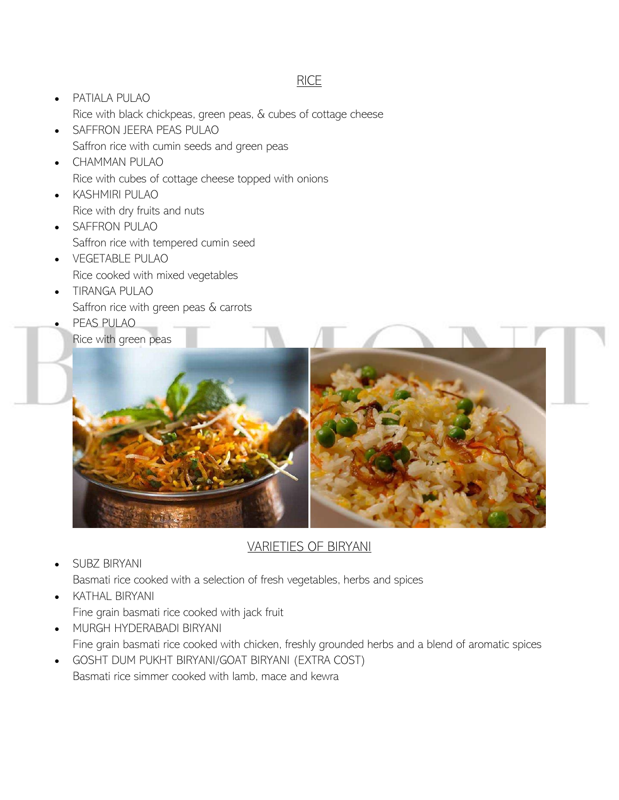#### RICE

- PATIALA PULAO Rice with black chickpeas, green peas, & cubes of cottage cheese
- SAFFRON JEERA PEAS PULAO Saffron rice with cumin seeds and green peas
- CHAMMAN PULAO Rice with cubes of cottage cheese topped with onions
- KASHMIRI PULAO Rice with dry fruits and nuts
- SAFFRON PULAO Saffron rice with tempered cumin seed
- VEGETABLE PULAO Rice cooked with mixed vegetables
- TIRANGA PULAO Saffron rice with green peas & carrots
- PEAS PULAO Rice with green peas



# VARIETIES OF BIRYANI

• SUBZ BIRYANI

Basmati rice cooked with a selection of fresh vegetables, herbs and spices

- KATHAL BIRYANI Fine grain basmati rice cooked with jack fruit
- MURGH HYDERABADI BIRYANI Fine grain basmati rice cooked with chicken, freshly grounded herbs and a blend of aromatic spices
- GOSHT DUM PUKHT BIRYANI/GOAT BIRYANI (EXTRA COST) Basmati rice simmer cooked with lamb, mace and kewra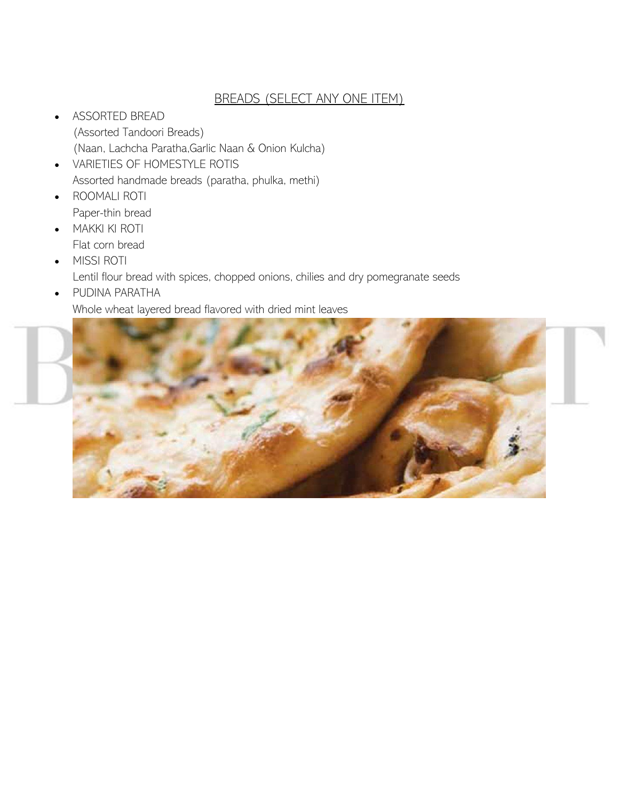#### BREADS (SELECT ANY ONE ITEM)

- ASSORTED BREAD (Assorted Tandoori Breads) (Naan, Lachcha Paratha,Garlic Naan & Onion Kulcha)
- VARIETIES OF HOMESTYLE ROTIS Assorted handmade breads (paratha, phulka, methi) • ROOMALI ROTI
- Paper-thin bread
- MAKKI KI ROTI Flat corn bread
- MISSI ROTI

Lentil flour bread with spices, chopped onions, chilies and dry pomegranate seeds

• PUDINA PARATHA Whole wheat layered bread flavored with dried mint leaves

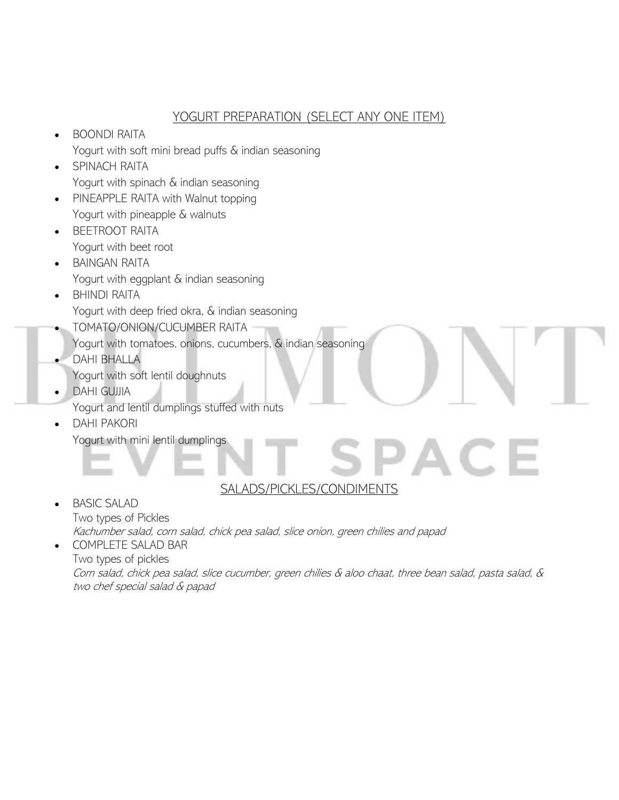#### YOGURT PREPARATION (SELECT ANY ONE ITEM)

- BOONDI RAITA Yogurt with soft mini bread puffs & indian seasoning
- SPINACH RAITA Yogurt with spinach & indian seasoning
- PINEAPPLE RAITA with Walnut topping Yogurt with pineapple & walnuts
- BEETROOT RAITA Yogurt with beet root
- BAINGAN RAITA Yogurt with eggplant & indian seasoning • BHINDI RAITA
	- Yogurt with deep fried okra, & indian seasoning
	- TOMATO/ONION/CUCUMBER RAITA
	- Yogurt with tomatoes, onions, cucumbers, & indian seasoning
- DAHI BHALLA Yogurt with soft lentil doughnuts
- DAHI GUJJIA
	- Yogurt and lentil dumplings stuffed with nuts
- DAHI PAKORI Yogurt with mini lentil dumplings

# SALADS/PICKLES/CONDIMENTS

AC

- BASIC SALAD Two types of Pickles Kachumber salad, corn salad, chick pea salad, slice onion, green chilies and papad
- COMPLETE SALAD BAR Two types of pickles Corn salad, chick pea salad, slice cucumber, green chilies & aloo chaat, three bean salad, pasta salad, & two chef special salad & papad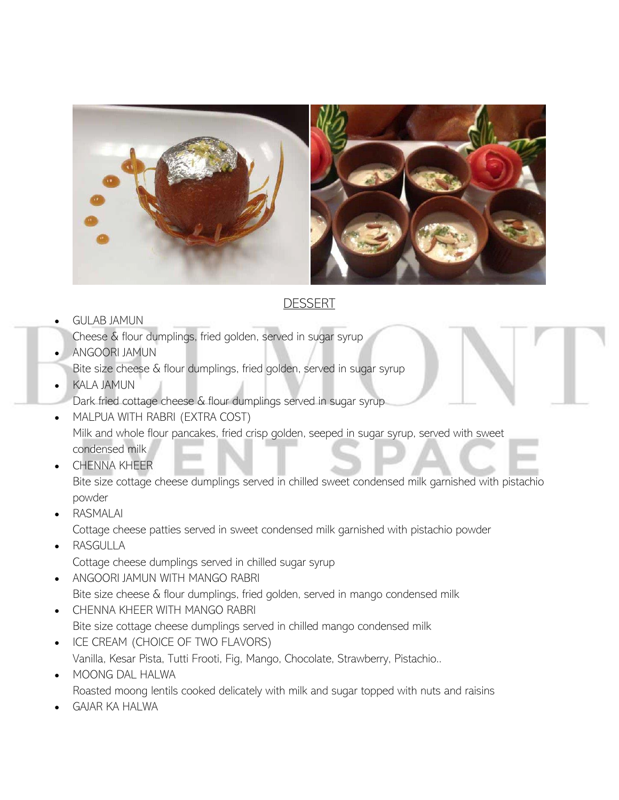

### **DESSERT**

#### • GULAB JAMUN

Cheese & flour dumplings, fried golden, served in sugar syrup

• ANGOORI JAMUN

Bite size cheese & flour dumplings, fried golden, served in sugar syrup

• KALA JAMUN

Dark fried cottage cheese & flour dumplings served in sugar syrup

- MALPUA WITH RABRI (EXTRA COST) Milk and whole flour pancakes, fried crisp golden, seeped in sugar syrup, served with sweet condensed milk
- CHENNA KHEER

Bite size cottage cheese dumplings served in chilled sweet condensed milk garnished with pistachio powder

• RASMALAI

Cottage cheese patties served in sweet condensed milk garnished with pistachio powder

• RASGULLA

Cottage cheese dumplings served in chilled sugar syrup

- ANGOORI JAMUN WITH MANGO RABRI Bite size cheese & flour dumplings, fried golden, served in mango condensed milk
- CHENNA KHEER WITH MANGO RABRI Bite size cottage cheese dumplings served in chilled mango condensed milk
- ICE CREAM (CHOICE OF TWO FLAVORS) Vanilla, Kesar Pista, Tutti Frooti, Fig, Mango, Chocolate, Strawberry, Pistachio..
- MOONG DAL HALWA Roasted moong lentils cooked delicately with milk and sugar topped with nuts and raisins
- GAJAR KA HALWA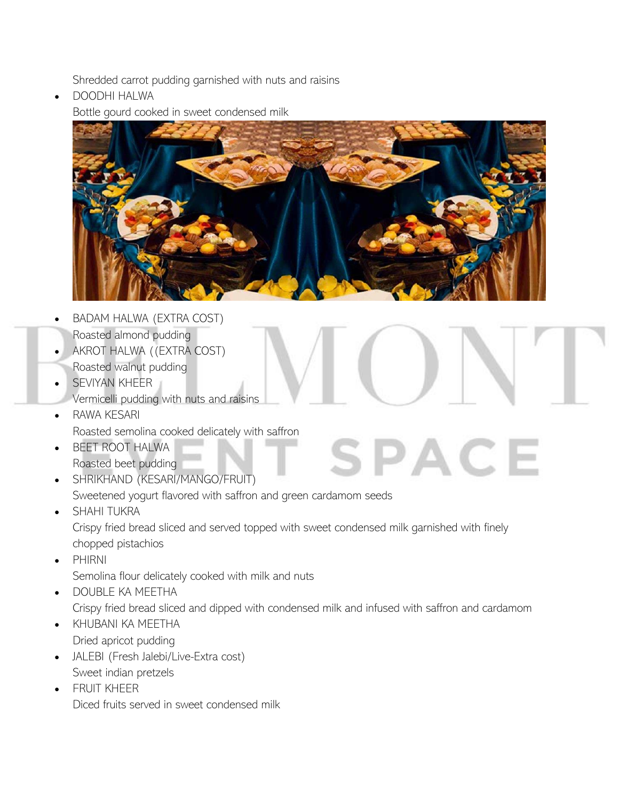Shredded carrot pudding garnished with nuts and raisins

• DOODHI HALWA Bottle gourd cooked in sweet condensed milk



- BADAM HALWA (EXTRA COST) Roasted almond pudding
- AKROT HALWA ((EXTRA COST)
- Roasted walnut pudding
- SEVIYAN KHEER
- Vermicelli pudding with nuts and raisins
- RAWA KESARI Roasted semolina cooked delicately with saffron
- BEET ROOT HALWA Roasted beet pudding
- SPACE • SHRIKHAND (KESARI/MANGO/FRUIT) Sweetened yogurt flavored with saffron and green cardamom seeds
- SHAHI TUKRA Crispy fried bread sliced and served topped with sweet condensed milk garnished with finely chopped pistachios
- PHIRNI

Semolina flour delicately cooked with milk and nuts

- DOUBLE KA MEETHA Crispy fried bread sliced and dipped with condensed milk and infused with saffron and cardamom
- KHUBANI KA MEETHA Dried apricot pudding
- JALEBI (Fresh Jalebi/Live-Extra cost) Sweet indian pretzels
- FRUIT KHEER Diced fruits served in sweet condensed milk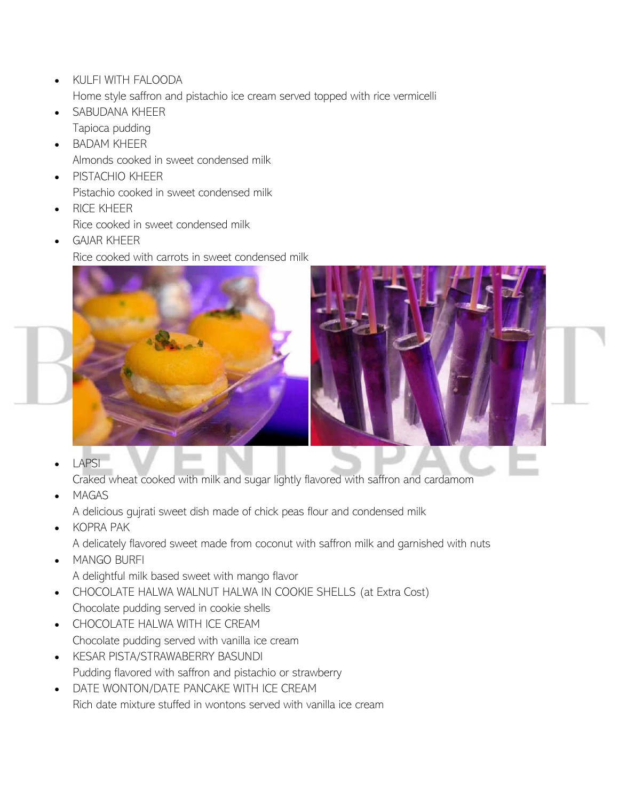- KULFI WITH FALOODA Home style saffron and pistachio ice cream served topped with rice vermicelli
- SABUDANA KHEER Tapioca pudding
- BADAM KHEER Almonds cooked in sweet condensed milk
- PISTACHIO KHEER Pistachio cooked in sweet condensed milk
- RICE KHEER Rice cooked in sweet condensed milk
- GAJAR KHEER Rice cooked with carrots in sweet condensed milk



**LAPSI** 

Craked wheat cooked with milk and sugar lightly flavored with saffron and cardamom

• MAGAS

A delicious gujrati sweet dish made of chick peas flour and condensed milk

• KOPRA PAK

A delicately flavored sweet made from coconut with saffron milk and garnished with nuts

• MANGO BURFI

A delightful milk based sweet with mango flavor

- CHOCOLATE HALWA WALNUT HALWA IN COOKIE SHELLS (at Extra Cost) Chocolate pudding served in cookie shells
- CHOCOLATE HALWA WITH ICE CREAM Chocolate pudding served with vanilla ice cream
- KESAR PISTA/STRAWABERRY BASUNDI Pudding flavored with saffron and pistachio or strawberry
- DATE WONTON/DATE PANCAKE WITH ICE CREAM Rich date mixture stuffed in wontons served with vanilla ice cream